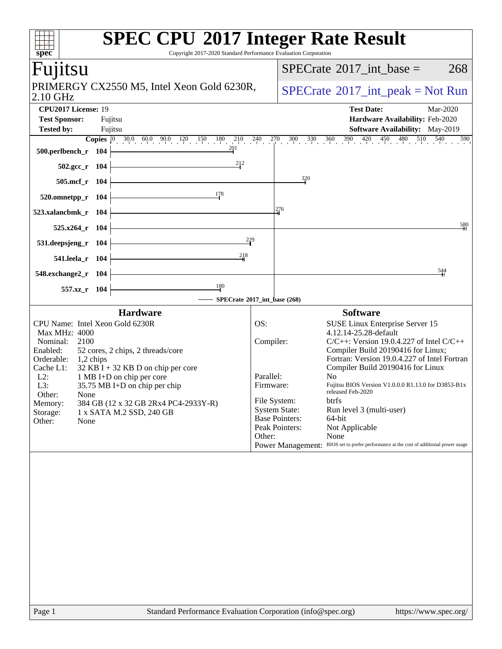| spec <sup>®</sup><br>Copyright 2017-2020 Standard Performance Evaluation Corporation                                                                                                                                                                                                                                                                                                                                  | <b>SPEC CPU®2017 Integer Rate Result</b>                                                                                                                                                                                                                                                                                                                                                                                                                                                                                                                                                                                                        |
|-----------------------------------------------------------------------------------------------------------------------------------------------------------------------------------------------------------------------------------------------------------------------------------------------------------------------------------------------------------------------------------------------------------------------|-------------------------------------------------------------------------------------------------------------------------------------------------------------------------------------------------------------------------------------------------------------------------------------------------------------------------------------------------------------------------------------------------------------------------------------------------------------------------------------------------------------------------------------------------------------------------------------------------------------------------------------------------|
| Fuµtsu                                                                                                                                                                                                                                                                                                                                                                                                                | $SPECrate^{\circledast}2017$ int base =<br>268                                                                                                                                                                                                                                                                                                                                                                                                                                                                                                                                                                                                  |
| PRIMERGY CX2550 M5, Intel Xeon Gold 6230R,<br>2.10 GHz                                                                                                                                                                                                                                                                                                                                                                | $SPECrate^{\circledcirc}2017\_int\_peak = Not Run$                                                                                                                                                                                                                                                                                                                                                                                                                                                                                                                                                                                              |
| CPU2017 License: 19<br><b>Test Sponsor:</b><br>Fujitsu<br><b>Tested by:</b><br>Fujitsu                                                                                                                                                                                                                                                                                                                                | <b>Test Date:</b><br>Mar-2020<br>Hardware Availability: Feb-2020<br><b>Software Availability:</b> May-2019                                                                                                                                                                                                                                                                                                                                                                                                                                                                                                                                      |
| 201<br>500.perlbench_r 104                                                                                                                                                                                                                                                                                                                                                                                            | <b>Copies</b> $\begin{bmatrix} 0 & 30.0 & 60.0 & 90.0 & 120 & 150 & 180 & 210 & 240 & 270 & 300 & 330 & 360 & 390 & 420 & 450 & 480 & 510 & 540 \end{bmatrix}$<br>590                                                                                                                                                                                                                                                                                                                                                                                                                                                                           |
| 212<br>$502.\text{gcc}_r$ 104<br>505.mcf_r 104                                                                                                                                                                                                                                                                                                                                                                        | $\frac{320}{4}$                                                                                                                                                                                                                                                                                                                                                                                                                                                                                                                                                                                                                                 |
| <u>178</u><br>$520.0$ mnetpp_r $104$                                                                                                                                                                                                                                                                                                                                                                                  |                                                                                                                                                                                                                                                                                                                                                                                                                                                                                                                                                                                                                                                 |
| 523.xalancbmk_r 104                                                                                                                                                                                                                                                                                                                                                                                                   | 276                                                                                                                                                                                                                                                                                                                                                                                                                                                                                                                                                                                                                                             |
| 525.x264_r 104<br>229                                                                                                                                                                                                                                                                                                                                                                                                 | 580                                                                                                                                                                                                                                                                                                                                                                                                                                                                                                                                                                                                                                             |
| 531.deepsjeng_r 104<br>218<br>541.leela_r 104                                                                                                                                                                                                                                                                                                                                                                         |                                                                                                                                                                                                                                                                                                                                                                                                                                                                                                                                                                                                                                                 |
| 548.exchange2_r 104                                                                                                                                                                                                                                                                                                                                                                                                   | 544                                                                                                                                                                                                                                                                                                                                                                                                                                                                                                                                                                                                                                             |
| $\frac{180}{ }$<br>557.xz_r 104                                                                                                                                                                                                                                                                                                                                                                                       | SPECrate®2017_int_base (268)                                                                                                                                                                                                                                                                                                                                                                                                                                                                                                                                                                                                                    |
| <b>Hardware</b>                                                                                                                                                                                                                                                                                                                                                                                                       | <b>Software</b>                                                                                                                                                                                                                                                                                                                                                                                                                                                                                                                                                                                                                                 |
| CPU Name: Intel Xeon Gold 6230R<br>Max MHz: 4000<br>2100<br>Nominal:<br>Enabled:<br>52 cores, 2 chips, 2 threads/core<br>Orderable:<br>$1,2$ chips<br>$32$ KB I + 32 KB D on chip per core<br>Cache L1:<br>$L2$ :<br>1 MB I+D on chip per core<br>L3:<br>35.75 MB I+D on chip per chip<br>Other:<br>None<br>384 GB (12 x 32 GB 2Rx4 PC4-2933Y-R)<br>Memory:<br>1 x SATA M.2 SSD, 240 GB<br>Storage:<br>Other:<br>None | OS:<br>SUSE Linux Enterprise Server 15<br>4.12.14-25.28-default<br>$C/C++$ : Version 19.0.4.227 of Intel $C/C++$<br>Compiler:<br>Compiler Build 20190416 for Linux;<br>Fortran: Version 19.0.4.227 of Intel Fortran<br>Compiler Build 20190416 for Linux<br>Parallel:<br>No.<br>Fujitsu BIOS Version V1.0.0.0 R1.13.0 for D3853-B1x<br>Firmware:<br>released Feb-2020<br>File System:<br>btrfs<br><b>System State:</b><br>Run level 3 (multi-user)<br><b>Base Pointers:</b><br>64-bit<br>Peak Pointers:<br>Not Applicable<br>None<br>Other:<br>BIOS set to prefer performance at the cost of additional power usage<br><b>Power Management:</b> |
|                                                                                                                                                                                                                                                                                                                                                                                                                       |                                                                                                                                                                                                                                                                                                                                                                                                                                                                                                                                                                                                                                                 |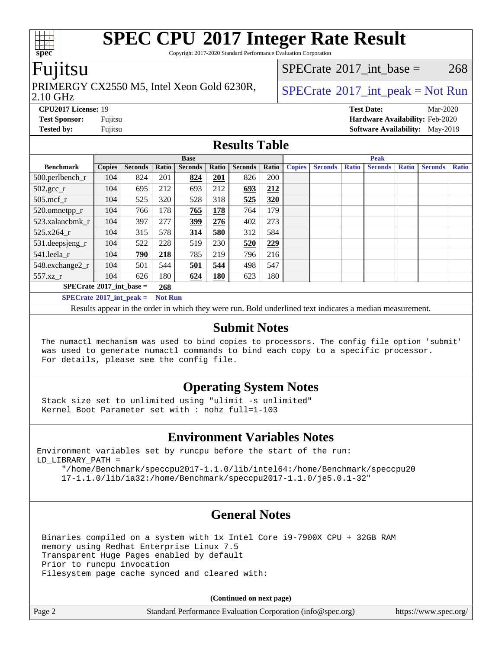Copyright 2017-2020 Standard Performance Evaluation Corporation

### Fujitsu

### PRIMERGY CX2550 M5, Intel Xeon Gold 6230R,  $\big|$  [SPECrate](http://www.spec.org/auto/cpu2017/Docs/result-fields.html#SPECrate2017intpeak) <sup>® 2017</sup>\_int\_peak = Not Run

[SPECrate](http://www.spec.org/auto/cpu2017/Docs/result-fields.html#SPECrate2017intbase)<sup>®</sup>2017 int base = 268

#### 2.10 GHz

**[Tested by:](http://www.spec.org/auto/cpu2017/Docs/result-fields.html#Testedby)** Fujitsu **Fujitsu <b>[Software Availability:](http://www.spec.org/auto/cpu2017/Docs/result-fields.html#SoftwareAvailability)** May-2019

**[CPU2017 License:](http://www.spec.org/auto/cpu2017/Docs/result-fields.html#CPU2017License)** 19 **[Test Date:](http://www.spec.org/auto/cpu2017/Docs/result-fields.html#TestDate)** Mar-2020 **[Test Sponsor:](http://www.spec.org/auto/cpu2017/Docs/result-fields.html#TestSponsor)** Fujitsu **[Hardware Availability:](http://www.spec.org/auto/cpu2017/Docs/result-fields.html#HardwareAvailability)** Feb-2020

#### **[Results Table](http://www.spec.org/auto/cpu2017/Docs/result-fields.html#ResultsTable)**

|                                                     | <b>Base</b>   |                |       |                |            | <b>Peak</b>    |       |               |                |              |                |              |                |              |
|-----------------------------------------------------|---------------|----------------|-------|----------------|------------|----------------|-------|---------------|----------------|--------------|----------------|--------------|----------------|--------------|
| <b>Benchmark</b>                                    | <b>Copies</b> | <b>Seconds</b> | Ratio | <b>Seconds</b> | Ratio      | <b>Seconds</b> | Ratio | <b>Copies</b> | <b>Seconds</b> | <b>Ratio</b> | <b>Seconds</b> | <b>Ratio</b> | <b>Seconds</b> | <b>Ratio</b> |
| 500.perlbench_r                                     | 104           | 824            | 201   | 824            | 201        | 826            | 200   |               |                |              |                |              |                |              |
| $502.\text{gcc}_r$                                  | 104           | 695            | 212   | 693            | 212        | 693            | 212   |               |                |              |                |              |                |              |
| $505$ .mcf r                                        | 104           | 525            | 320   | 528            | 318        | 525            | 320   |               |                |              |                |              |                |              |
| 520.omnetpp_r                                       | 104           | 766            | 178   | 765            | 178        | 764            | 179   |               |                |              |                |              |                |              |
| 523.xalancbmk r                                     | 104           | 397            | 277   | 399            | 276        | 402            | 273   |               |                |              |                |              |                |              |
| 525.x264 r                                          | 104           | 315            | 578   | 314            | 580        | 312            | 584   |               |                |              |                |              |                |              |
| 531.deepsjeng_r                                     | 104           | 522            | 228   | 519            | 230        | 520            | 229   |               |                |              |                |              |                |              |
| 541.leela_r                                         | 104           | 790            | 218   | 785            | 219        | 796            | 216   |               |                |              |                |              |                |              |
| 548.exchange2_r                                     | 104           | 501            | 544   | 501            | 544        | 498            | 547   |               |                |              |                |              |                |              |
| 557.xz r                                            | 104           | 626            | 180   | 624            | <b>180</b> | 623            | 180   |               |                |              |                |              |                |              |
| $SPECrate^{\circ}2017\_int\_base =$<br>268          |               |                |       |                |            |                |       |               |                |              |                |              |                |              |
| $SPECrate^{\circ}2017$ int peak =<br><b>Not Run</b> |               |                |       |                |            |                |       |               |                |              |                |              |                |              |

Results appear in the [order in which they were run](http://www.spec.org/auto/cpu2017/Docs/result-fields.html#RunOrder). Bold underlined text [indicates a median measurement](http://www.spec.org/auto/cpu2017/Docs/result-fields.html#Median).

#### **[Submit Notes](http://www.spec.org/auto/cpu2017/Docs/result-fields.html#SubmitNotes)**

 The numactl mechanism was used to bind copies to processors. The config file option 'submit' was used to generate numactl commands to bind each copy to a specific processor. For details, please see the config file.

#### **[Operating System Notes](http://www.spec.org/auto/cpu2017/Docs/result-fields.html#OperatingSystemNotes)**

 Stack size set to unlimited using "ulimit -s unlimited" Kernel Boot Parameter set with : nohz\_full=1-103

#### **[Environment Variables Notes](http://www.spec.org/auto/cpu2017/Docs/result-fields.html#EnvironmentVariablesNotes)**

Environment variables set by runcpu before the start of the run: LD\_LIBRARY\_PATH =

 "/home/Benchmark/speccpu2017-1.1.0/lib/intel64:/home/Benchmark/speccpu20 17-1.1.0/lib/ia32:/home/Benchmark/speccpu2017-1.1.0/je5.0.1-32"

#### **[General Notes](http://www.spec.org/auto/cpu2017/Docs/result-fields.html#GeneralNotes)**

 Binaries compiled on a system with 1x Intel Core i9-7900X CPU + 32GB RAM memory using Redhat Enterprise Linux 7.5 Transparent Huge Pages enabled by default Prior to runcpu invocation Filesystem page cache synced and cleared with:

**(Continued on next page)**

| e 2 |  |  |  |
|-----|--|--|--|
|     |  |  |  |
|     |  |  |  |

Page 2 Standard Performance Evaluation Corporation [\(info@spec.org\)](mailto:info@spec.org) <https://www.spec.org/>

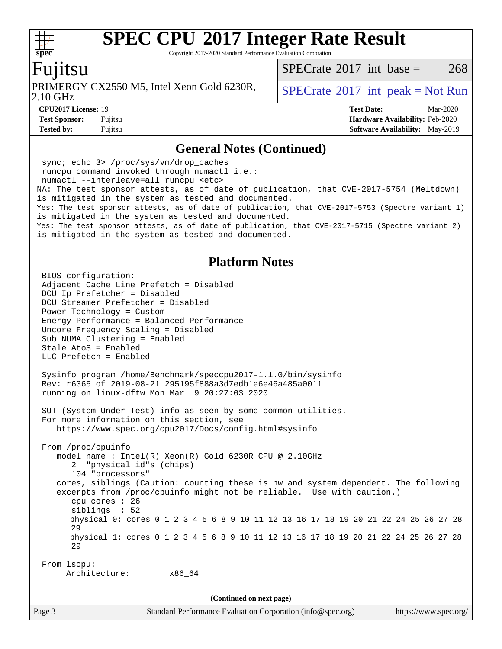Copyright 2017-2020 Standard Performance Evaluation Corporation

#### Fujitsu

**[spec](http://www.spec.org/)**

 $+\ +$ 

PRIMERGY CX2550 M5, Intel Xeon Gold 6230R,  $\big|$  [SPECrate](http://www.spec.org/auto/cpu2017/Docs/result-fields.html#SPECrate2017intpeak)®[2017\\_int\\_peak = N](http://www.spec.org/auto/cpu2017/Docs/result-fields.html#SPECrate2017intpeak)ot Run

[SPECrate](http://www.spec.org/auto/cpu2017/Docs/result-fields.html#SPECrate2017intbase)<sup>®</sup>2017 int base =  $268$ 

2.10 GHz

**[CPU2017 License:](http://www.spec.org/auto/cpu2017/Docs/result-fields.html#CPU2017License)** 19 **[Test Date:](http://www.spec.org/auto/cpu2017/Docs/result-fields.html#TestDate)** Mar-2020 **[Test Sponsor:](http://www.spec.org/auto/cpu2017/Docs/result-fields.html#TestSponsor)** Fujitsu **[Hardware Availability:](http://www.spec.org/auto/cpu2017/Docs/result-fields.html#HardwareAvailability)** Feb-2020 **[Tested by:](http://www.spec.org/auto/cpu2017/Docs/result-fields.html#Testedby)** Fujitsu **Fujitsu <b>[Software Availability:](http://www.spec.org/auto/cpu2017/Docs/result-fields.html#SoftwareAvailability)** May-2019

#### **[General Notes \(Continued\)](http://www.spec.org/auto/cpu2017/Docs/result-fields.html#GeneralNotes)**

 sync; echo 3> /proc/sys/vm/drop\_caches runcpu command invoked through numactl i.e.: numactl --interleave=all runcpu <etc> NA: The test sponsor attests, as of date of publication, that CVE-2017-5754 (Meltdown) is mitigated in the system as tested and documented. Yes: The test sponsor attests, as of date of publication, that CVE-2017-5753 (Spectre variant 1) is mitigated in the system as tested and documented. Yes: The test sponsor attests, as of date of publication, that CVE-2017-5715 (Spectre variant 2) is mitigated in the system as tested and documented.

#### **[Platform Notes](http://www.spec.org/auto/cpu2017/Docs/result-fields.html#PlatformNotes)**

Page 3 Standard Performance Evaluation Corporation [\(info@spec.org\)](mailto:info@spec.org) <https://www.spec.org/> BIOS configuration: Adjacent Cache Line Prefetch = Disabled DCU Ip Prefetcher = Disabled DCU Streamer Prefetcher = Disabled Power Technology = Custom Energy Performance = Balanced Performance Uncore Frequency Scaling = Disabled Sub NUMA Clustering = Enabled Stale AtoS = Enabled LLC Prefetch = Enabled Sysinfo program /home/Benchmark/speccpu2017-1.1.0/bin/sysinfo Rev: r6365 of 2019-08-21 295195f888a3d7edb1e6e46a485a0011 running on linux-dftw Mon Mar 9 20:27:03 2020 SUT (System Under Test) info as seen by some common utilities. For more information on this section, see <https://www.spec.org/cpu2017/Docs/config.html#sysinfo> From /proc/cpuinfo model name : Intel(R) Xeon(R) Gold 6230R CPU @ 2.10GHz 2 "physical id"s (chips) 104 "processors" cores, siblings (Caution: counting these is hw and system dependent. The following excerpts from /proc/cpuinfo might not be reliable. Use with caution.) cpu cores : 26 siblings : 52 physical 0: cores 0 1 2 3 4 5 6 8 9 10 11 12 13 16 17 18 19 20 21 22 24 25 26 27 28 29 physical 1: cores 0 1 2 3 4 5 6 8 9 10 11 12 13 16 17 18 19 20 21 22 24 25 26 27 28 29 From lscpu: Architecture: x86\_64 **(Continued on next page)**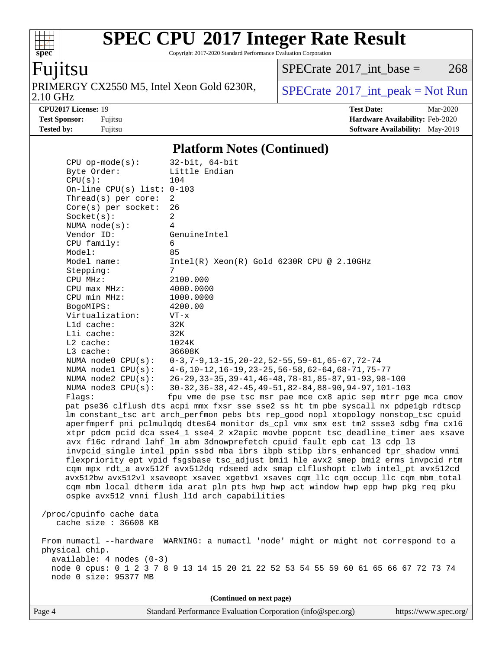Copyright 2017-2020 Standard Performance Evaluation Corporation

# Fujitsu

**[spec](http://www.spec.org/)**

 $+\ +$ 

PRIMERGY CX2550 M5, Intel Xeon Gold 6230R,<br>2.10 GHz

 $SPECTate$ <sup>®</sup>[2017\\_int\\_base =](http://www.spec.org/auto/cpu2017/Docs/result-fields.html#SPECrate2017intbase) 268

 $SPECTate<sup>®</sup>2017_int_p [peak = Not Run]$ 

**[CPU2017 License:](http://www.spec.org/auto/cpu2017/Docs/result-fields.html#CPU2017License)** 19 **[Test Date:](http://www.spec.org/auto/cpu2017/Docs/result-fields.html#TestDate)** Mar-2020 **[Test Sponsor:](http://www.spec.org/auto/cpu2017/Docs/result-fields.html#TestSponsor)** Fujitsu **[Hardware Availability:](http://www.spec.org/auto/cpu2017/Docs/result-fields.html#HardwareAvailability)** Feb-2020 **[Tested by:](http://www.spec.org/auto/cpu2017/Docs/result-fields.html#Testedby)** Fujitsu **Fugital [Software Availability:](http://www.spec.org/auto/cpu2017/Docs/result-fields.html#SoftwareAvailability)** May-2019

#### **[Platform Notes \(Continued\)](http://www.spec.org/auto/cpu2017/Docs/result-fields.html#PlatformNotes)**

| $CPU$ op-mode( $s$ ):<br>$32$ -bit, $64$ -bit<br>Byte Order:<br>Little Endian                                                                                              |  |
|----------------------------------------------------------------------------------------------------------------------------------------------------------------------------|--|
| CPU(s):<br>104                                                                                                                                                             |  |
| On-line CPU(s) list: $0-103$                                                                                                                                               |  |
| Thread(s) per core:<br>2                                                                                                                                                   |  |
| $Core(s)$ per socket:<br>26<br>$\overline{a}$<br>Socket(s):                                                                                                                |  |
| 4<br>NUMA $node(s):$                                                                                                                                                       |  |
| Vendor ID:<br>GenuineIntel                                                                                                                                                 |  |
| CPU family:<br>6                                                                                                                                                           |  |
| Model:<br>85                                                                                                                                                               |  |
| Model name:<br>$Intel(R) Xeon(R) Gold 6230R CPU @ 2.10GHz$                                                                                                                 |  |
| Stepping:<br>7                                                                                                                                                             |  |
| CPU MHz:<br>2100.000                                                                                                                                                       |  |
| CPU max MHz:<br>4000.0000                                                                                                                                                  |  |
| CPU min MHz:<br>1000.0000                                                                                                                                                  |  |
| 4200.00<br>BogoMIPS:<br>Virtualization:                                                                                                                                    |  |
| $VT - x$<br>L1d cache:<br>32K                                                                                                                                              |  |
| Lli cache:<br>32K                                                                                                                                                          |  |
| $L2$ cache:<br>1024K                                                                                                                                                       |  |
| L3 cache:<br>36608K                                                                                                                                                        |  |
| NUMA $node0$ $CPU(s)$ :<br>$0-3, 7-9, 13-15, 20-22, 52-55, 59-61, 65-67, 72-74$                                                                                            |  |
| $4-6$ , 10-12, 16-19, 23-25, 56-58, 62-64, 68-71, 75-77<br>NUMA $model$ $CPU(s):$                                                                                          |  |
| NUMA $node2$ $CPU(s):$<br>26-29, 33-35, 39-41, 46-48, 78-81, 85-87, 91-93, 98-100                                                                                          |  |
| NUMA $node3$ CPU $(s)$ :<br>30-32, 36-38, 42-45, 49-51, 82-84, 88-90, 94-97, 101-103                                                                                       |  |
| fpu vme de pse tsc msr pae mce cx8 apic sep mtrr pge mca cmov<br>Flaqs:                                                                                                    |  |
| pat pse36 clflush dts acpi mmx fxsr sse sse2 ss ht tm pbe syscall nx pdpelgb rdtscp<br>lm constant_tsc art arch_perfmon pebs bts rep_good nopl xtopology nonstop_tsc cpuid |  |
| aperfmperf pni pclmulqdq dtes64 monitor ds_cpl vmx smx est tm2 ssse3 sdbg fma cx16                                                                                         |  |
| xtpr pdcm pcid dca sse4_1 sse4_2 x2apic movbe popcnt tsc_deadline_timer aes xsave                                                                                          |  |
| avx f16c rdrand lahf_lm abm 3dnowprefetch cpuid_fault epb cat_13 cdp_13                                                                                                    |  |
| invpcid_single intel_ppin ssbd mba ibrs ibpb stibp ibrs_enhanced tpr_shadow vnmi                                                                                           |  |
| flexpriority ept vpid fsgsbase tsc_adjust bmil hle avx2 smep bmi2 erms invpcid rtm                                                                                         |  |
| cqm mpx rdt_a avx512f avx512dq rdseed adx smap clflushopt clwb intel_pt avx512cd                                                                                           |  |
| avx512bw avx512vl xsaveopt xsavec xgetbvl xsaves cqm_llc cqm_occup_llc cqm_mbm_total                                                                                       |  |
| cqm_mbm_local dtherm ida arat pln pts hwp hwp_act_window hwp_epp hwp_pkg_req pku                                                                                           |  |
| ospke avx512_vnni flush_l1d arch_capabilities                                                                                                                              |  |
| /proc/cpuinfo cache data                                                                                                                                                   |  |
| cache size : 36608 KB                                                                                                                                                      |  |
|                                                                                                                                                                            |  |
| From numactl --hardware WARNING: a numactl 'node' might or might not correspond to a                                                                                       |  |
| physical chip.                                                                                                                                                             |  |
| available: 4 nodes (0-3)                                                                                                                                                   |  |
| node 0 cpus: 0 1 2 3 7 8 9 13 14 15 20 21 22 52 53 54 55 59 60 61 65 66 67 72 73 74<br>node 0 size: 95377 MB                                                               |  |
|                                                                                                                                                                            |  |
|                                                                                                                                                                            |  |

Page 4 Standard Performance Evaluation Corporation [\(info@spec.org\)](mailto:info@spec.org) <https://www.spec.org/>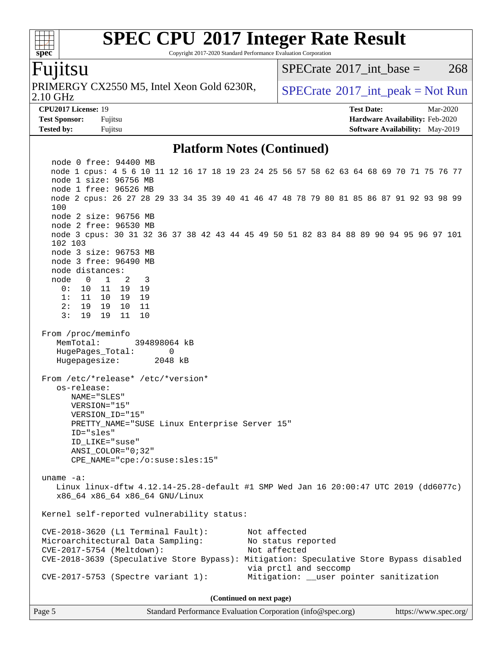Copyright 2017-2020 Standard Performance Evaluation Corporation

#### Fujitsu

**[spec](http://www.spec.org/)**

 $+\ +$ 

2.10 GHz PRIMERGY CX2550 M5, Intel Xeon Gold 6230R,  $\big|$  [SPECrate](http://www.spec.org/auto/cpu2017/Docs/result-fields.html#SPECrate2017intpeak) <sup>® 2017</sup>\_int\_peak = Not Run

[SPECrate](http://www.spec.org/auto/cpu2017/Docs/result-fields.html#SPECrate2017intbase)<sup>®</sup>2017 int base =  $268$ 

**[Tested by:](http://www.spec.org/auto/cpu2017/Docs/result-fields.html#Testedby)** Fujitsu **Fugital [Software Availability:](http://www.spec.org/auto/cpu2017/Docs/result-fields.html#SoftwareAvailability)** May-2019

**[CPU2017 License:](http://www.spec.org/auto/cpu2017/Docs/result-fields.html#CPU2017License)** 19 **[Test Date:](http://www.spec.org/auto/cpu2017/Docs/result-fields.html#TestDate)** Mar-2020 **[Test Sponsor:](http://www.spec.org/auto/cpu2017/Docs/result-fields.html#TestSponsor)** Fujitsu **[Hardware Availability:](http://www.spec.org/auto/cpu2017/Docs/result-fields.html#HardwareAvailability)** Feb-2020

#### **[Platform Notes \(Continued\)](http://www.spec.org/auto/cpu2017/Docs/result-fields.html#PlatformNotes)**

 node 0 free: 94400 MB node 1 cpus: 4 5 6 10 11 12 16 17 18 19 23 24 25 56 57 58 62 63 64 68 69 70 71 75 76 77 node 1 size: 96756 MB node 1 free: 96526 MB node 2 cpus: 26 27 28 29 33 34 35 39 40 41 46 47 48 78 79 80 81 85 86 87 91 92 93 98 99 100 node 2 size: 96756 MB node 2 free: 96530 MB node 3 cpus: 30 31 32 36 37 38 42 43 44 45 49 50 51 82 83 84 88 89 90 94 95 96 97 101 102 103 node 3 size: 96753 MB node 3 free: 96490 MB node distances: node 0 1 2 3 0: 10 11 19 19 1: 11 10 19 19 2: 19 19 10 11 3: 19 19 11 10 From /proc/meminfo MemTotal: 394898064 kB HugePages\_Total: 0 Hugepagesize: 2048 kB From /etc/\*release\* /etc/\*version\* os-release: NAME="SLES" VERSION="15" VERSION\_ID="15" PRETTY\_NAME="SUSE Linux Enterprise Server 15" ID="sles" ID\_LIKE="suse" ANSI\_COLOR="0;32" CPE\_NAME="cpe:/o:suse:sles:15" uname -a: Linux linux-dftw 4.12.14-25.28-default #1 SMP Wed Jan 16 20:00:47 UTC 2019 (dd6077c) x86\_64 x86\_64 x86\_64 GNU/Linux Kernel self-reported vulnerability status: CVE-2018-3620 (L1 Terminal Fault): Not affected Microarchitectural Data Sampling: No status reported CVE-2017-5754 (Meltdown): Not affected CVE-2018-3639 (Speculative Store Bypass): Mitigation: Speculative Store Bypass disabled via prctl and seccomp CVE-2017-5753 (Spectre variant 1): Mitigation: \_\_user pointer sanitization **(Continued on next page)**

Page 5 Standard Performance Evaluation Corporation [\(info@spec.org\)](mailto:info@spec.org) <https://www.spec.org/>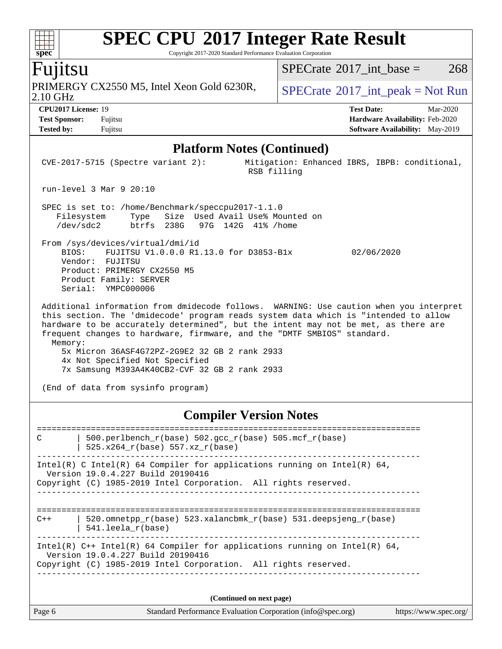Copyright 2017-2020 Standard Performance Evaluation Corporation

### Fujitsu

2.10 GHz PRIMERGY CX2550 M5, Intel Xeon Gold 6230R,  $\big|$  [SPECrate](http://www.spec.org/auto/cpu2017/Docs/result-fields.html#SPECrate2017intpeak) <sup>® 2017</sup>\_int\_peak = Not Run

[SPECrate](http://www.spec.org/auto/cpu2017/Docs/result-fields.html#SPECrate2017intbase)<sup>®</sup>2017 int base =  $268$ 

**[spec](http://www.spec.org/)**

**[CPU2017 License:](http://www.spec.org/auto/cpu2017/Docs/result-fields.html#CPU2017License)** 19 **[Test Date:](http://www.spec.org/auto/cpu2017/Docs/result-fields.html#TestDate)** Mar-2020 **[Test Sponsor:](http://www.spec.org/auto/cpu2017/Docs/result-fields.html#TestSponsor)** Fujitsu **[Hardware Availability:](http://www.spec.org/auto/cpu2017/Docs/result-fields.html#HardwareAvailability)** Feb-2020 **[Tested by:](http://www.spec.org/auto/cpu2017/Docs/result-fields.html#Testedby)** Fujitsu **Fugital [Software Availability:](http://www.spec.org/auto/cpu2017/Docs/result-fields.html#SoftwareAvailability)** May-2019

#### **[Platform Notes \(Continued\)](http://www.spec.org/auto/cpu2017/Docs/result-fields.html#PlatformNotes)**

 CVE-2017-5715 (Spectre variant 2): Mitigation: Enhanced IBRS, IBPB: conditional, RSB filling run-level 3 Mar 9 20:10 SPEC is set to: /home/Benchmark/speccpu2017-1.1.0 Filesystem Type Size Used Avail Use% Mounted on /dev/sdc2 btrfs 238G 97G 142G 41% /home From /sys/devices/virtual/dmi/id BIOS: FUJITSU V1.0.0.0 R1.13.0 for D3853-B1x 02/06/2020 Vendor: FUJITSU Product: PRIMERGY CX2550 M5 Product Family: SERVER Serial: YMPC000006 Additional information from dmidecode follows. WARNING: Use caution when you interpret this section. The 'dmidecode' program reads system data which is "intended to allow hardware to be accurately determined", but the intent may not be met, as there are frequent changes to hardware, firmware, and the "DMTF SMBIOS" standard. Memory: 5x Micron 36ASF4G72PZ-2G9E2 32 GB 2 rank 2933 4x Not Specified Not Specified 7x Samsung M393A4K40CB2-CVF 32 GB 2 rank 2933 (End of data from sysinfo program)

#### **[Compiler Version Notes](http://www.spec.org/auto/cpu2017/Docs/result-fields.html#CompilerVersionNotes)**

============================================================================== C | 500.perlbench\_r(base) 502.gcc\_r(base) 505.mcf\_r(base) | 525.x264\_r(base) 557.xz\_r(base) ------------------------------------------------------------------------------ Intel(R) C Intel(R) 64 Compiler for applications running on Intel(R)  $64$ , Version 19.0.4.227 Build 20190416 Copyright (C) 1985-2019 Intel Corporation. All rights reserved. ------------------------------------------------------------------------------ ============================================================================== C++ | 520.omnetpp  $r(base)$  523.xalancbmk  $r(base)$  531.deepsjeng  $r(base)$  | 541.leela\_r(base) ------------------------------------------------------------------------------ Intel(R)  $C++$  Intel(R) 64 Compiler for applications running on Intel(R) 64, Version 19.0.4.227 Build 20190416 Copyright (C) 1985-2019 Intel Corporation. All rights reserved. ------------------------------------------------------------------------------ **(Continued on next page)**

| $\vert$ Page 6 | Standard Performance Evaluation Corporation (info@spec.org) | https://www.spec.org/ |
|----------------|-------------------------------------------------------------|-----------------------|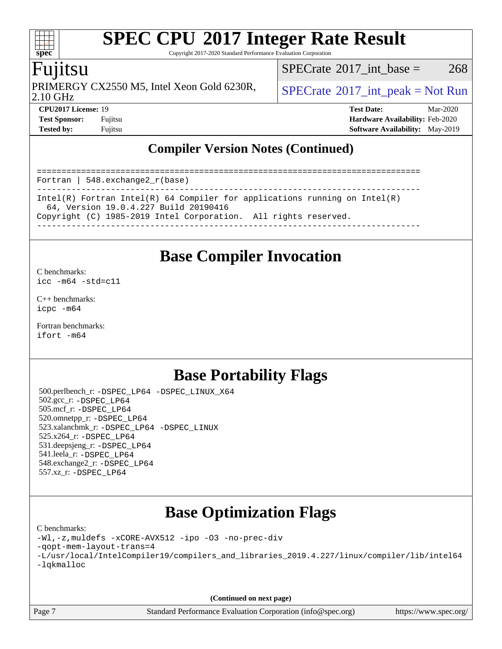Copyright 2017-2020 Standard Performance Evaluation Corporation

### Fujitsu

PRIMERGY CX2550 M5, Intel Xeon Gold 6230R,  $\big|$  [SPECrate](http://www.spec.org/auto/cpu2017/Docs/result-fields.html#SPECrate2017intpeak)®[2017\\_int\\_peak = N](http://www.spec.org/auto/cpu2017/Docs/result-fields.html#SPECrate2017intpeak)ot Run

[SPECrate](http://www.spec.org/auto/cpu2017/Docs/result-fields.html#SPECrate2017intbase)<sup>®</sup>2017 int base = 268

2.10 GHz

**[CPU2017 License:](http://www.spec.org/auto/cpu2017/Docs/result-fields.html#CPU2017License)** 19 **[Test Date:](http://www.spec.org/auto/cpu2017/Docs/result-fields.html#TestDate)** Mar-2020 **[Test Sponsor:](http://www.spec.org/auto/cpu2017/Docs/result-fields.html#TestSponsor)** Fujitsu **[Hardware Availability:](http://www.spec.org/auto/cpu2017/Docs/result-fields.html#HardwareAvailability)** Feb-2020 **[Tested by:](http://www.spec.org/auto/cpu2017/Docs/result-fields.html#Testedby)** Fujitsu **[Software Availability:](http://www.spec.org/auto/cpu2017/Docs/result-fields.html#SoftwareAvailability)** May-2019

### **[Compiler Version Notes \(Continued\)](http://www.spec.org/auto/cpu2017/Docs/result-fields.html#CompilerVersionNotes)**

============================================================================== Fortran | 548.exchange2\_r(base) ------------------------------------------------------------------------------ Intel(R) Fortran Intel(R) 64 Compiler for applications running on Intel(R) 64, Version 19.0.4.227 Build 20190416 Copyright (C) 1985-2019 Intel Corporation. All rights reserved. ------------------------------------------------------------------------------

### **[Base Compiler Invocation](http://www.spec.org/auto/cpu2017/Docs/result-fields.html#BaseCompilerInvocation)**

[C benchmarks](http://www.spec.org/auto/cpu2017/Docs/result-fields.html#Cbenchmarks): [icc -m64 -std=c11](http://www.spec.org/cpu2017/results/res2020q2/cpu2017-20200414-22067.flags.html#user_CCbase_intel_icc_64bit_c11_33ee0cdaae7deeeab2a9725423ba97205ce30f63b9926c2519791662299b76a0318f32ddfffdc46587804de3178b4f9328c46fa7c2b0cd779d7a61945c91cd35)

[C++ benchmarks:](http://www.spec.org/auto/cpu2017/Docs/result-fields.html#CXXbenchmarks) [icpc -m64](http://www.spec.org/cpu2017/results/res2020q2/cpu2017-20200414-22067.flags.html#user_CXXbase_intel_icpc_64bit_4ecb2543ae3f1412ef961e0650ca070fec7b7afdcd6ed48761b84423119d1bf6bdf5cad15b44d48e7256388bc77273b966e5eb805aefd121eb22e9299b2ec9d9)

[Fortran benchmarks](http://www.spec.org/auto/cpu2017/Docs/result-fields.html#Fortranbenchmarks): [ifort -m64](http://www.spec.org/cpu2017/results/res2020q2/cpu2017-20200414-22067.flags.html#user_FCbase_intel_ifort_64bit_24f2bb282fbaeffd6157abe4f878425411749daecae9a33200eee2bee2fe76f3b89351d69a8130dd5949958ce389cf37ff59a95e7a40d588e8d3a57e0c3fd751)

### **[Base Portability Flags](http://www.spec.org/auto/cpu2017/Docs/result-fields.html#BasePortabilityFlags)**

 500.perlbench\_r: [-DSPEC\\_LP64](http://www.spec.org/cpu2017/results/res2020q2/cpu2017-20200414-22067.flags.html#b500.perlbench_r_basePORTABILITY_DSPEC_LP64) [-DSPEC\\_LINUX\\_X64](http://www.spec.org/cpu2017/results/res2020q2/cpu2017-20200414-22067.flags.html#b500.perlbench_r_baseCPORTABILITY_DSPEC_LINUX_X64) 502.gcc\_r: [-DSPEC\\_LP64](http://www.spec.org/cpu2017/results/res2020q2/cpu2017-20200414-22067.flags.html#suite_basePORTABILITY502_gcc_r_DSPEC_LP64) 505.mcf\_r: [-DSPEC\\_LP64](http://www.spec.org/cpu2017/results/res2020q2/cpu2017-20200414-22067.flags.html#suite_basePORTABILITY505_mcf_r_DSPEC_LP64) 520.omnetpp\_r: [-DSPEC\\_LP64](http://www.spec.org/cpu2017/results/res2020q2/cpu2017-20200414-22067.flags.html#suite_basePORTABILITY520_omnetpp_r_DSPEC_LP64) 523.xalancbmk\_r: [-DSPEC\\_LP64](http://www.spec.org/cpu2017/results/res2020q2/cpu2017-20200414-22067.flags.html#suite_basePORTABILITY523_xalancbmk_r_DSPEC_LP64) [-DSPEC\\_LINUX](http://www.spec.org/cpu2017/results/res2020q2/cpu2017-20200414-22067.flags.html#b523.xalancbmk_r_baseCXXPORTABILITY_DSPEC_LINUX) 525.x264\_r: [-DSPEC\\_LP64](http://www.spec.org/cpu2017/results/res2020q2/cpu2017-20200414-22067.flags.html#suite_basePORTABILITY525_x264_r_DSPEC_LP64) 531.deepsjeng\_r: [-DSPEC\\_LP64](http://www.spec.org/cpu2017/results/res2020q2/cpu2017-20200414-22067.flags.html#suite_basePORTABILITY531_deepsjeng_r_DSPEC_LP64) 541.leela\_r: [-DSPEC\\_LP64](http://www.spec.org/cpu2017/results/res2020q2/cpu2017-20200414-22067.flags.html#suite_basePORTABILITY541_leela_r_DSPEC_LP64) 548.exchange2\_r: [-DSPEC\\_LP64](http://www.spec.org/cpu2017/results/res2020q2/cpu2017-20200414-22067.flags.html#suite_basePORTABILITY548_exchange2_r_DSPEC_LP64) 557.xz\_r: [-DSPEC\\_LP64](http://www.spec.org/cpu2017/results/res2020q2/cpu2017-20200414-22067.flags.html#suite_basePORTABILITY557_xz_r_DSPEC_LP64)

## **[Base Optimization Flags](http://www.spec.org/auto/cpu2017/Docs/result-fields.html#BaseOptimizationFlags)**

[C benchmarks](http://www.spec.org/auto/cpu2017/Docs/result-fields.html#Cbenchmarks): [-Wl,-z,muldefs](http://www.spec.org/cpu2017/results/res2020q2/cpu2017-20200414-22067.flags.html#user_CCbase_link_force_multiple1_b4cbdb97b34bdee9ceefcfe54f4c8ea74255f0b02a4b23e853cdb0e18eb4525ac79b5a88067c842dd0ee6996c24547a27a4b99331201badda8798ef8a743f577) [-xCORE-AVX512](http://www.spec.org/cpu2017/results/res2020q2/cpu2017-20200414-22067.flags.html#user_CCbase_f-xCORE-AVX512) [-ipo](http://www.spec.org/cpu2017/results/res2020q2/cpu2017-20200414-22067.flags.html#user_CCbase_f-ipo) [-O3](http://www.spec.org/cpu2017/results/res2020q2/cpu2017-20200414-22067.flags.html#user_CCbase_f-O3) [-no-prec-div](http://www.spec.org/cpu2017/results/res2020q2/cpu2017-20200414-22067.flags.html#user_CCbase_f-no-prec-div)

[-qopt-mem-layout-trans=4](http://www.spec.org/cpu2017/results/res2020q2/cpu2017-20200414-22067.flags.html#user_CCbase_f-qopt-mem-layout-trans_fa39e755916c150a61361b7846f310bcdf6f04e385ef281cadf3647acec3f0ae266d1a1d22d972a7087a248fd4e6ca390a3634700869573d231a252c784941a8)

|            | -L/usr/local/IntelCompiler19/compilers_and_libraries_2019.4.227/linux/compiler/lib/intel64 |  |  |  |  |
|------------|--------------------------------------------------------------------------------------------|--|--|--|--|
| -lqkmalloc |                                                                                            |  |  |  |  |

**(Continued on next page)**

Page 7 Standard Performance Evaluation Corporation [\(info@spec.org\)](mailto:info@spec.org) <https://www.spec.org/>

 $+\ +$ **[spec](http://www.spec.org/)**